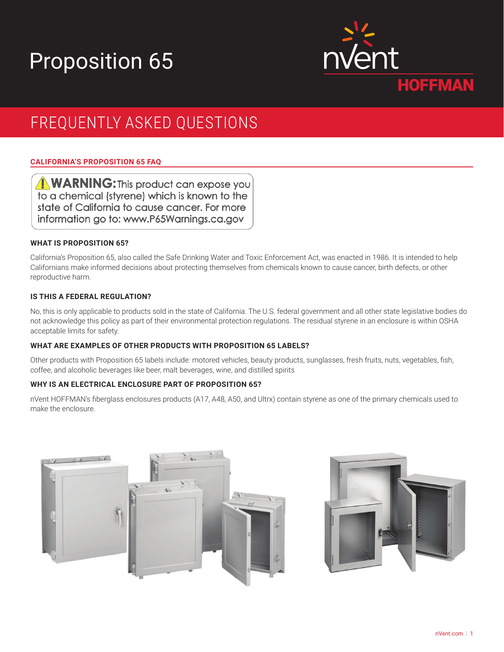# Proposition 65



## FREQUENTLY ASKED QUESTIONS

### **CALIFORNIA'S PROPOSITION 65 FAQ**

**WARNING:** This product can expose you to a chemical (styrene) which is known to the state of California to cause cancer. For more information go to: www.P65Warnings.ca.gov

#### **WHAT IS PROPOSITION 65?**

California's Proposition 65, also called the Safe Drinking Water and Toxic Enforcement Act, was enacted in 1986. It is intended to help Californians make informed decisions about protecting themselves from chemicals known to cause cancer, birth defects, or other reproductive harm.

#### **IS THIS A FEDERAL REGULATION?**

No, this is only applicable to products sold in the state of California. The U.S. federal government and all other state legislative bodies do not acknowledge this policy as part of their environmental protection regulations. The residual styrene in an enclosure is within OSHA acceptable limits for safety.

#### **WHAT ARE EXAMPLES OF OTHER PRODUCTS WITH PROPOSITION 65 LABELS?**

Other products with Proposition 65 labels include: motored vehicles, beauty products, sunglasses, fresh fruits, nuts, vegetables, fish, coffee, and alcoholic beverages like beer, malt beverages, wine, and distilled spirits

#### **WHY IS AN ELECTRICAL ENCLOSURE PART OF PROPOSITION 65?**

nVent HOFFMAN's fiberglass enclosures products (A17, A48, A50, and Ultrx) contain styrene as one of the primary chemicals used to make the enclosure.